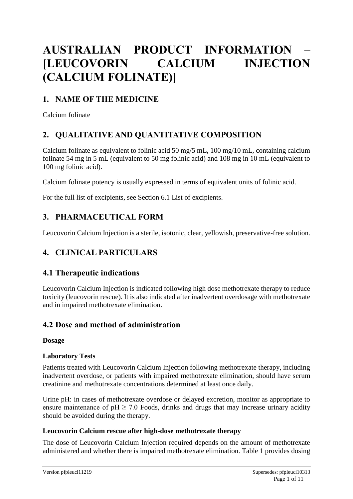# **AUSTRALIAN PRODUCT INFORMATION – [LEUCOVORIN CALCIUM INJECTION (CALCIUM FOLINATE)]**

### **1. NAME OF THE MEDICINE**

Calcium folinate

### **2. QUALITATIVE AND QUANTITATIVE COMPOSITION**

Calcium folinate as equivalent to folinic acid 50 mg/5 mL, 100 mg/10 mL, containing calcium folinate 54 mg in 5 mL (equivalent to 50 mg folinic acid) and 108 mg in 10 mL (equivalent to 100 mg folinic acid).

Calcium folinate potency is usually expressed in terms of equivalent units of folinic acid.

For the full list of excipients, see Section 6.1 List of excipients.

### **3. PHARMACEUTICAL FORM**

Leucovorin Calcium Injection is a sterile, isotonic, clear, yellowish, preservative-free solution.

### **4. CLINICAL PARTICULARS**

### **4.1 Therapeutic indications**

Leucovorin Calcium Injection is indicated following high dose methotrexate therapy to reduce toxicity (leucovorin rescue). It is also indicated after inadvertent overdosage with methotrexate and in impaired methotrexate elimination.

### **4.2 Dose and method of administration**

#### **Dosage**

#### **Laboratory Tests**

Patients treated with Leucovorin Calcium Injection following methotrexate therapy, including inadvertent overdose, or patients with impaired methotrexate elimination, should have serum creatinine and methotrexate concentrations determined at least once daily.

Urine pH: in cases of methotrexate overdose or delayed excretion, monitor as appropriate to ensure maintenance of  $pH \ge 7.0$  Foods, drinks and drugs that may increase urinary acidity should be avoided during the therapy.

#### **Leucovorin Calcium rescue after high-dose methotrexate therapy**

The dose of Leucovorin Calcium Injection required depends on the amount of methotrexate administered and whether there is impaired methotrexate elimination. Table 1 provides dosing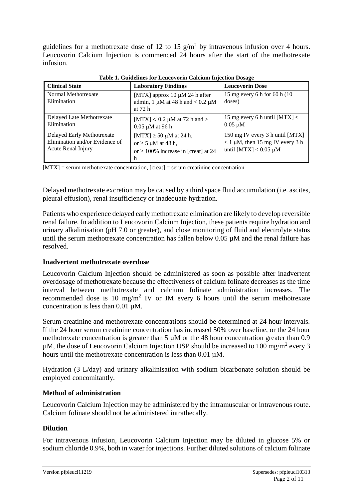guidelines for a methotrexate dose of 12 to 15  $g/m^2$  by intravenous infusion over 4 hours. Leucovorin Calcium Injection is commenced 24 hours after the start of the methotrexate infusion.

| <b>Clinical State</b>                                                              | <b>Laboratory Findings</b>                                                                               | <b>Leucovorin Dose</b>                                                                                 |
|------------------------------------------------------------------------------------|----------------------------------------------------------------------------------------------------------|--------------------------------------------------------------------------------------------------------|
| Normal Methotrexate<br>Elimination                                                 | [MTX] approx 10 $\mu$ M 24 h after<br>admin, 1 $\mu$ M at 48 h and < 0.2 $\mu$ M<br>at 72 h              | 15 mg every 6 h for 60 h (10)<br>doses)                                                                |
| Delayed Late Methotrexate<br>Elimination                                           | [MTX] $< 0.2 \mu M$ at 72 h and $>$<br>$0.05 \mu M$ at 96 h                                              | 15 mg every 6 h until $[MTX]$ <<br>$0.05 \mu M$                                                        |
| Delayed Early Methotrexate<br>Elimination and/or Evidence of<br>Acute Renal Injury | [MTX] $\geq$ 50 µM at 24 h,<br>or $\geq$ 5 µM at 48 h,<br>or $\geq 100\%$ increase in [creat] at 24<br>h | 150 mg IV every 3 h until [MTX]<br>$< 1 \mu M$ , then 15 mg IV every 3 h<br>until $[MTX] < 0.05 \mu M$ |

**Table 1. Guidelines for Leucovorin Calcium Injection Dosage**

 $[MTX]$  = serum methotrexate concentration,  $[{\rm creat}]$  = serum creatinine concentration.

Delayed methotrexate excretion may be caused by a third space fluid accumulation (i.e. ascites, pleural effusion), renal insufficiency or inadequate hydration.

Patients who experience delayed early methotrexate elimination are likely to develop reversible renal failure. In addition to Leucovorin Calcium Injection, these patients require hydration and urinary alkalinisation (pH 7.0 or greater), and close monitoring of fluid and electrolyte status until the serum methotrexate concentration has fallen below  $0.05 \mu$ M and the renal failure has resolved.

#### **Inadvertent methotrexate overdose**

Leucovorin Calcium Injection should be administered as soon as possible after inadvertent overdosage of methotrexate because the effectiveness of calcium folinate decreases as the time interval between methotrexate and calcium folinate administration increases. The recommended dose is 10 mg/m<sup>2</sup> IV or IM every 6 hours until the serum methotrexate concentration is less than  $0.01 \mu M$ .

Serum creatinine and methotrexate concentrations should be determined at 24 hour intervals. If the 24 hour serum creatinine concentration has increased 50% over baseline, or the 24 hour methotrexate concentration is greater than  $5 \mu$ M or the 48 hour concentration greater than 0.9  $\mu$ M, the dose of Leucovorin Calcium Injection USP should be increased to 100 mg/m<sup>2</sup> every 3 hours until the methotrexate concentration is less than 0.01 µM.

Hydration (3 L/day) and urinary alkalinisation with sodium bicarbonate solution should be employed concomitantly.

#### **Method of administration**

Leucovorin Calcium Injection may be administered by the intramuscular or intravenous route. Calcium folinate should not be administered intrathecally.

#### **Dilution**

For intravenous infusion, Leucovorin Calcium Injection may be diluted in glucose 5% or sodium chloride 0.9%, both in water for injections. Further diluted solutions of calcium folinate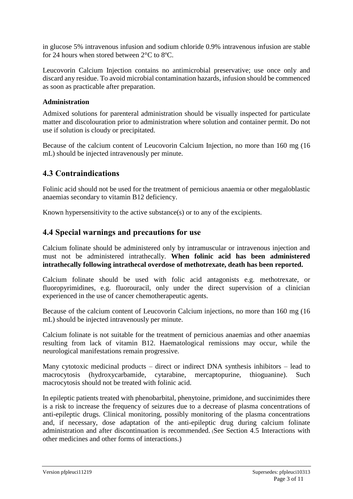in glucose 5% intravenous infusion and sodium chloride 0.9% intravenous infusion are stable for 24 hours when stored between 2°C to 8ºC.

Leucovorin Calcium Injection contains no antimicrobial preservative; use once only and discard any residue. To avoid microbial contamination hazards, infusion should be commenced as soon as practicable after preparation.

#### **Administration**

Admixed solutions for parenteral administration should be visually inspected for particulate matter and discolouration prior to administration where solution and container permit. Do not use if solution is cloudy or precipitated.

Because of the calcium content of Leucovorin Calcium Injection, no more than 160 mg (16 mL) should be injected intravenously per minute.

### **4.3 Contraindications**

Folinic acid should not be used for the treatment of pernicious anaemia or other megaloblastic anaemias secondary to vitamin B12 deficiency.

Known hypersensitivity to the active substance(s) or to any of the excipients.

### **4.4 Special warnings and precautions for use**

Calcium folinate should be administered only by intramuscular or intravenous injection and must not be administered intrathecally. **When folinic acid has been administered intrathecally following intrathecal overdose of methotrexate, death has been reported.**

Calcium folinate should be used with folic acid antagonists e.g. methotrexate, or fluoropyrimidines, e.g. fluorouracil, only under the direct supervision of a clinician experienced in the use of cancer chemotherapeutic agents.

Because of the calcium content of Leucovorin Calcium injections, no more than 160 mg (16 mL) should be injected intravenously per minute.

Calcium folinate is not suitable for the treatment of pernicious anaemias and other anaemias resulting from lack of vitamin B12. Haematological remissions may occur, while the neurological manifestations remain progressive.

Many cytotoxic medicinal products – direct or indirect DNA synthesis inhibitors – lead to macrocytosis (hydroxycarbamide, cytarabine, mercaptopurine, thioguanine). Such macrocytosis should not be treated with folinic acid.

In epileptic patients treated with phenobarbital, phenytoine, primidone, and succinimides there is a risk to increase the frequency of seizures due to a decrease of plasma concentrations of anti-epileptic drugs. Clinical monitoring, possibly monitoring of the plasma concentrations and, if necessary, dose adaptation of the anti-epileptic drug during calcium folinate administration and after discontinuation is recommended. (See Section 4.5 Interactions with other medicines and other forms of interactions.)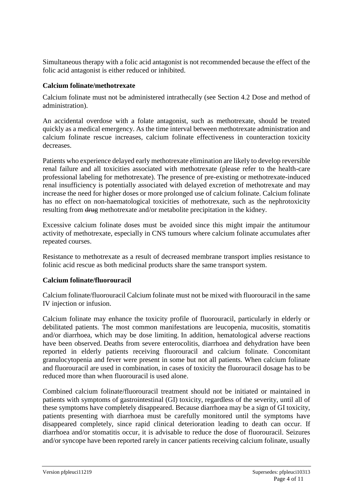Simultaneous therapy with a folic acid antagonist is not recommended because the effect of the folic acid antagonist is either reduced or inhibited.

#### **Calcium folinate/methotrexate**

Calcium folinate must not be administered intrathecally (see Section 4.2 Dose and method of administration).

An accidental overdose with a folate antagonist, such as methotrexate, should be treated quickly as a medical emergency. As the time interval between methotrexate administration and calcium folinate rescue increases, calcium folinate effectiveness in counteraction toxicity decreases.

Patients who experience delayed early methotrexate elimination are likely to develop reversible renal failure and all toxicities associated with methotrexate (please refer to the health-care professional labeling for methotrexate). The presence of pre-existing or methotrexate-induced renal insufficiency is potentially associated with delayed excretion of methotrexate and may increase the need for higher doses or more prolonged use of calcium folinate. Calcium folinate has no effect on non-haematological toxicities of methotrexate, such as the nephrotoxicity resulting from  $\frac{d}{d\mu}$  methotrexate and/or metabolite precipitation in the kidney.

Excessive calcium folinate doses must be avoided since this might impair the antitumour activity of methotrexate, especially in CNS tumours where calcium folinate accumulates after repeated courses.

Resistance to methotrexate as a result of decreased membrane transport implies resistance to folinic acid rescue as both medicinal products share the same transport system.

#### **Calcium folinate/fluorouracil**

Calcium folinate/fluorouracil Calcium folinate must not be mixed with fluorouracil in the same IV injection or infusion.

Calcium folinate may enhance the toxicity profile of fluorouracil, particularly in elderly or debilitated patients. The most common manifestations are leucopenia, mucositis, stomatitis and/or diarrhoea, which may be dose limiting. In addition, hematological adverse reactions have been observed. Deaths from severe enterocolitis, diarrhoea and dehydration have been reported in elderly patients receiving fluorouracil and calcium folinate. Concomitant granulocytopenia and fever were present in some but not all patients. When calcium folinate and fluorouracil are used in combination, in cases of toxicity the fluorouracil dosage has to be reduced more than when fluorouracil is used alone.

Combined calcium folinate/fluorouracil treatment should not be initiated or maintained in patients with symptoms of gastrointestinal (GI) toxicity, regardless of the severity, until all of these symptoms have completely disappeared. Because diarrhoea may be a sign of GI toxicity, patients presenting with diarrhoea must be carefully monitored until the symptoms have disappeared completely, since rapid clinical deterioration leading to death can occur. If diarrhoea and/or stomatitis occur, it is advisable to reduce the dose of fluorouracil. Seizures and/or syncope have been reported rarely in cancer patients receiving calcium folinate, usually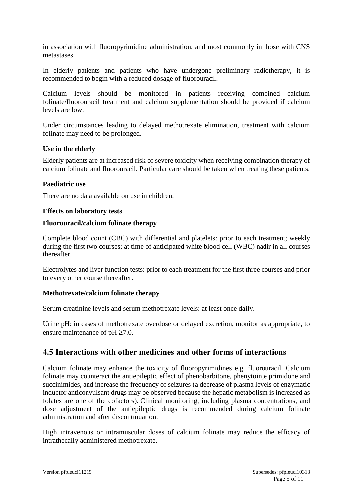in association with fluoropyrimidine administration, and most commonly in those with CNS metastases.

In elderly patients and patients who have undergone preliminary radiotherapy, it is recommended to begin with a reduced dosage of fluorouracil.

Calcium levels should be monitored in patients receiving combined calcium folinate/fluorouracil treatment and calcium supplementation should be provided if calcium levels are low.

Under circumstances leading to delayed methotrexate elimination, treatment with calcium folinate may need to be prolonged.

#### **Use in the elderly**

Elderly patients are at increased risk of severe toxicity when receiving combination therapy of calcium folinate and fluorouracil. Particular care should be taken when treating these patients.

#### **Paediatric use**

There are no data available on use in children.

#### **Effects on laboratory tests**

#### **Fluorouracil/calcium folinate therapy**

Complete blood count (CBC) with differential and platelets: prior to each treatment; weekly during the first two courses; at time of anticipated white blood cell (WBC) nadir in all courses thereafter.

Electrolytes and liver function tests: prior to each treatment for the first three courses and prior to every other course thereafter.

#### **Methotrexate/calcium folinate therapy**

Serum creatinine levels and serum methotrexate levels: at least once daily.

Urine pH: in cases of methotrexate overdose or delayed excretion, monitor as appropriate, to ensure maintenance of  $pH \ge 7.0$ .

### **4.5 Interactions with other medicines and other forms of interactions**

Calcium folinate may enhance the toxicity of fluoropyrimidines e.g. fluorouracil. Calcium folinate may counteract the antiepileptic effect of phenobarbitone, phenytoin,e primidone and succinimides, and increase the frequency of seizures (a decrease of plasma levels of enzymatic inductor anticonvulsant drugs may be observed because the hepatic metabolism is increased as folates are one of the cofactors). Clinical monitoring, including plasma concentrations, and dose adjustment of the antiepileptic drugs is recommended during calcium folinate administration and after discontinuation.

High intravenous or intramuscular doses of calcium folinate may reduce the efficacy of intrathecally administered methotrexate.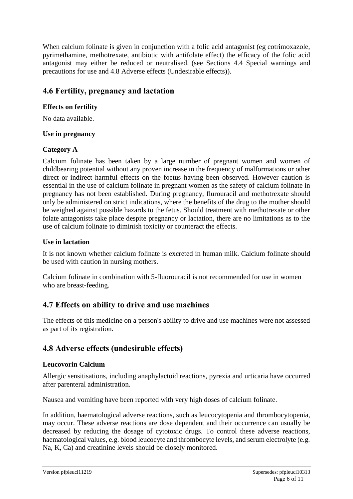When calcium folinate is given in conjunction with a folic acid antagonist (eg cotrimoxazole, pyrimethamine, methotrexate, antibiotic with antifolate effect) the efficacy of the folic acid antagonist may either be reduced or neutralised. (see Sections 4.4 Special warnings and precautions for use and 4.8 Adverse effects (Undesirable effects)).

### **4.6 Fertility, pregnancy and lactation**

#### **Effects on fertility**

No data available.

#### **Use in pregnancy**

#### **Category A**

Calcium folinate has been taken by a large number of pregnant women and women of childbearing potential without any proven increase in the frequency of malformations or other direct or indirect harmful effects on the foetus having been observed. However caution is essential in the use of calcium folinate in pregnant women as the safety of calcium folinate in pregnancy has not been established. During pregnancy, flurouracil and methotrexate should only be administered on strict indications, where the benefits of the drug to the mother should be weighed against possible hazards to the fetus. Should treatment with methotrexate or other folate antagonists take place despite pregnancy or lactation, there are no limitations as to the use of calcium folinate to diminish toxicity or counteract the effects.

#### **Use in lactation**

It is not known whether calcium folinate is excreted in human milk. Calcium folinate should be used with caution in nursing mothers.

Calcium folinate in combination with 5-fluorouracil is not recommended for use in women who are breast-feeding.

### **4.7 Effects on ability to drive and use machines**

The effects of this medicine on a person's ability to drive and use machines were not assessed as part of its registration.

### **4.8 Adverse effects (undesirable effects)**

#### **Leucovorin Calcium**

Allergic sensitisations, including anaphylactoid reactions, pyrexia and urticaria have occurred after parenteral administration.

Nausea and vomiting have been reported with very high doses of calcium folinate.

In addition, haematological adverse reactions, such as leucocytopenia and thrombocytopenia, may occur. These adverse reactions are dose dependent and their occurrence can usually be decreased by reducing the dosage of cytotoxic drugs. To control these adverse reactions, haematological values, e.g. blood leucocyte and thrombocyte levels, and serum electrolyte (e.g. Na, K, Ca) and creatinine levels should be closely monitored.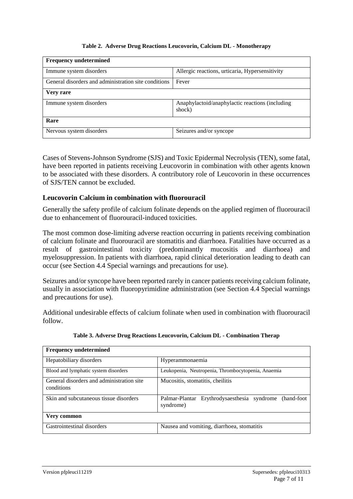#### **Table 2. Adverse Drug Reactions Leucovorin, Calcium DL - Monotherapy**

| <b>Frequency undetermined</b>                        |                                                           |  |
|------------------------------------------------------|-----------------------------------------------------------|--|
| Immune system disorders                              | Allergic reactions, urticaria, Hypersensitivity           |  |
| General disorders and administration site conditions | Fever                                                     |  |
| Very rare                                            |                                                           |  |
| Immune system disorders                              | Anaphylactoid/anaphylactic reactions (including<br>shock) |  |
| Rare                                                 |                                                           |  |
| Nervous system disorders                             | Seizures and/or syncope                                   |  |

Cases of Stevens-Johnson Syndrome (SJS) and Toxic Epidermal Necrolysis (TEN), some fatal, have been reported in patients receiving Leucovorin in combination with other agents known to be associated with these disorders. A contributory role of Leucovorin in these occurrences of SJS/TEN cannot be excluded.

#### **Leucovorin Calcium in combination with fluorouracil**

Generally the safety profile of calcium folinate depends on the applied regimen of fluorouracil due to enhancement of fluorouracil-induced toxicities.

The most common dose-limiting adverse reaction occurring in patients receiving combination of calcium folinate and fluorouracil are stomatitis and diarrhoea. Fatalities have occurred as a result of gastrointestinal toxicity (predominantly mucositis and diarrhoea) and myelosuppression. In patients with diarrhoea, rapid clinical deterioration leading to death can occur (see Section 4.4 Special warnings and precautions for use).

Seizures and/or syncope have been reported rarely in cancer patients receiving calcium folinate, usually in association with fluoropyrimidine administration (see Section 4.4 Special warnings and precautions for use).

Additional undesirable effects of calcium folinate when used in combination with fluorouracil follow.

| <b>Frequency undetermined</b>                           |                                                                         |  |
|---------------------------------------------------------|-------------------------------------------------------------------------|--|
| Hepatobiliary disorders                                 | Hyperammonaemia                                                         |  |
| Blood and lymphatic system disorders                    | Leukopenia, Neutropenia, Thrombocytopenia, Anaemia                      |  |
| General disorders and administration site<br>conditions | Mucositis, stomatitis, cheilitis                                        |  |
| Skin and subcutaneous tissue disorders                  | Palmar-Plantar Erythrodysaesthesia syndrome<br>(hand-foot)<br>syndrome) |  |
| Very common                                             |                                                                         |  |
| Gastrointestinal disorders                              | Nausea and vomiting, diarrhoea, stomatitis                              |  |

**Table 3. Adverse Drug Reactions Leucovorin, Calcium DL - Combination Therap**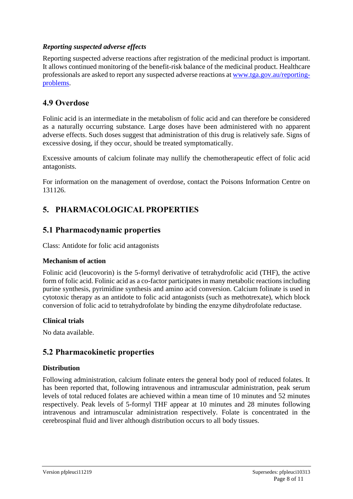#### *Reporting suspected adverse effects*

Reporting suspected adverse reactions after registration of the medicinal product is important. It allows continued monitoring of the benefit-risk balance of the medicinal product. Healthcare professionals are asked to report any suspected adverse reactions at [www.tga.gov.au/reporting](http://www.tga.gov.au/reporting-problems)[problems.](http://www.tga.gov.au/reporting-problems)

### **4.9 Overdose**

Folinic acid is an intermediate in the metabolism of folic acid and can therefore be considered as a naturally occurring substance. Large doses have been administered with no apparent adverse effects. Such doses suggest that administration of this drug is relatively safe. Signs of excessive dosing, if they occur, should be treated symptomatically.

Excessive amounts of calcium folinate may nullify the chemotherapeutic effect of folic acid antagonists.

For information on the management of overdose, contact the Poisons Information Centre on 131126.

### **5. PHARMACOLOGICAL PROPERTIES**

### **5.1 Pharmacodynamic properties**

Class: Antidote for folic acid antagonists

#### **Mechanism of action**

Folinic acid (leucovorin) is the 5-formyl derivative of tetrahydrofolic acid (THF), the active form of folic acid. Folinic acid as a co-factor participates in many metabolic reactions including purine synthesis, pyrimidine synthesis and amino acid conversion. Calcium folinate is used in cytotoxic therapy as an antidote to folic acid antagonists (such as methotrexate), which block conversion of folic acid to tetrahydrofolate by binding the enzyme dihydrofolate reductase.

#### **Clinical trials**

No data available.

#### **5.2 Pharmacokinetic properties**

#### **Distribution**

Following administration, calcium folinate enters the general body pool of reduced folates. It has been reported that, following intravenous and intramuscular administration, peak serum levels of total reduced folates are achieved within a mean time of 10 minutes and 52 minutes respectively. Peak levels of 5-formyl THF appear at 10 minutes and 28 minutes following intravenous and intramuscular administration respectively. Folate is concentrated in the cerebrospinal fluid and liver although distribution occurs to all body tissues.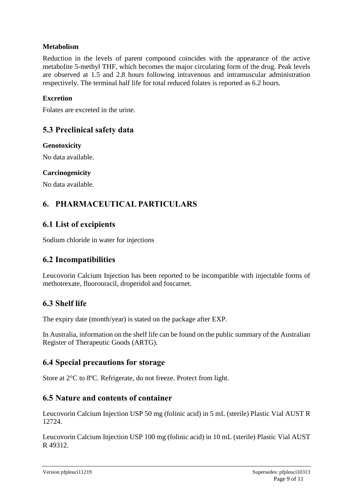#### **Metabolism**

Reduction in the levels of parent compound coincides with the appearance of the active metabolite 5-methyl THF, which becomes the major circulating form of the drug. Peak levels are observed at 1.5 and 2.8 hours following intravenous and intramuscular administration respectively. The terminal half life for total reduced folates is reported as 6.2 hours.

#### **Excretion**

Folates are excreted in the urine.

### **5.3 Preclinical safety data**

**Genotoxicity**

No data available.

#### **Carcinogenicity**

No data available.

### **6. PHARMACEUTICAL PARTICULARS**

### **6.1 List of excipients**

Sodium chloride in water for injections

### **6.2 Incompatibilities**

Leucovorin Calcium Injection has been reported to be incompatible with injectable forms of methotrexate, fluorouracil, droperidol and foscarnet.

### **6.3 Shelf life**

The expiry date (month/year) is stated on the package after EXP.

In Australia, information on the shelf life can be found on the public summary of the Australian Register of Therapeutic Goods (ARTG).

### **6.4 Special precautions for storage**

Store at 2°C to 8ºC. Refrigerate, do not freeze. Protect from light.

### **6.5 Nature and contents of container**

Leucovorin Calcium Injection USP 50 mg (folinic acid) in 5 mL (sterile) Plastic Vial AUST R 12724.

Leucovorin Calcium Injection USP 100 mg (folinic acid) in 10 mL (sterile) Plastic Vial AUST R 49312.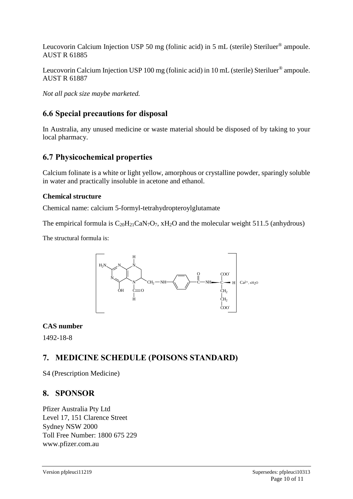Leucovorin Calcium Injection USP 50 mg (folinic acid) in 5 mL (sterile) Steriluer® ampoule. AUST R 61885

Leucovorin Calcium Injection USP 100 mg (folinic acid) in 10 mL (sterile) Steriluer<sup>®</sup> ampoule. AUST R 61887

*Not all pack size maybe marketed.* 

### **6.6 Special precautions for disposal**

In Australia, any unused medicine or waste material should be disposed of by taking to your local pharmacy.

### **6.7 Physicochemical properties**

Calcium folinate is a white or light yellow, amorphous or crystalline powder, sparingly soluble in water and practically insoluble in acetone and ethanol.

#### **Chemical structure**

Chemical name: calcium 5-formyl-tetrahydropteroylglutamate

The empirical formula is  $C_{20}H_{21}CaN<sub>7</sub>O<sub>7</sub>$ , xH<sub>2</sub>O and the molecular weight 511.5 (anhydrous)

The structural formula is:



#### **CAS number**

1492-18-8

### **7. MEDICINE SCHEDULE (POISONS STANDARD)**

S4 (Prescription Medicine)

### **8. SPONSOR**

Pfizer Australia Pty Ltd Level 17, 151 Clarence Street Sydney NSW 2000 Toll Free Number: 1800 675 229 www.pfizer.com.au